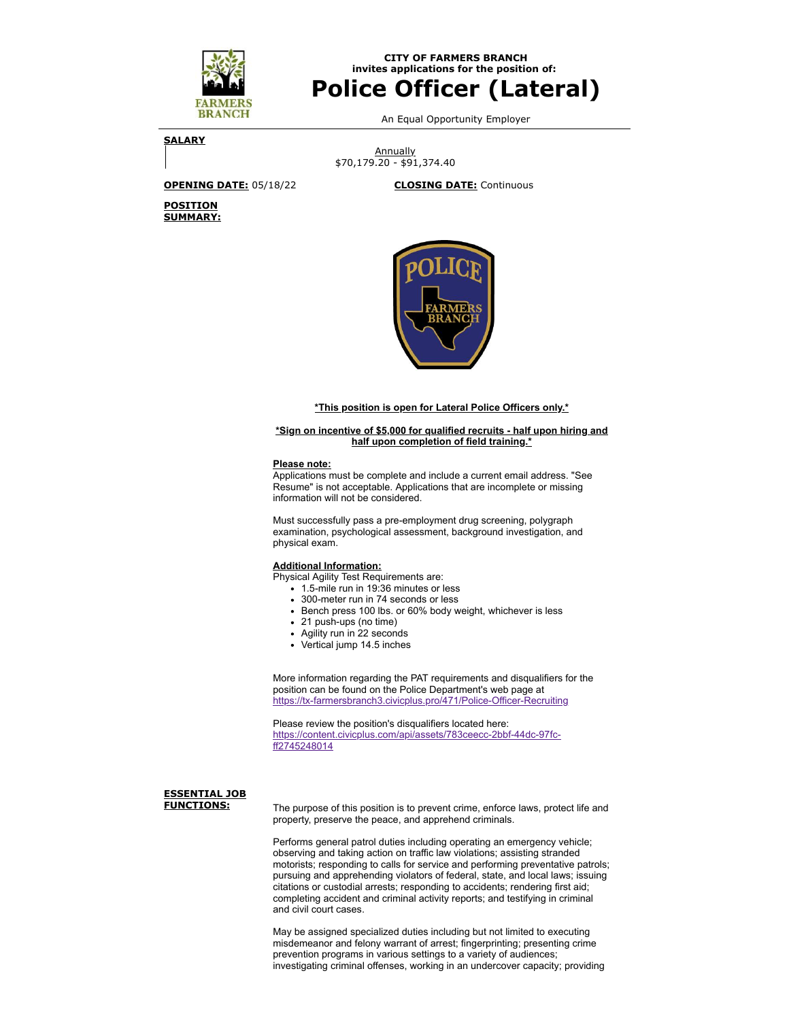

**CITY OF FARMERS BRANCH invites applications for the position of:**

# **Police Officer (Lateral)**

An Equal Opportunity Employer

**SALARY**

**Annually** \$70,179.20 - \$91,374.40

**POSITION SUMMARY:**

**OPENING DATE:** 05/18/22 **CLOSING DATE:** Continuous



## **\*This position is open for Lateral Police Officers only.\***

### **\*Sign on incentive of \$5,000 for qualified recruits - half upon hiring and half upon completion of field training.\***

### **Please note:**

Applications must be complete and include a current email address. "See Resume" is not acceptable. Applications that are incomplete or missing information will not be considered.

Must successfully pass a pre-employment drug screening, polygraph examination, psychological assessment, background investigation, and physical exam.

## **Additional Information:**

Physical Agility Test Requirements are:

- 1.5-mile run in 19:36 minutes or less
- 300-meter run in 74 seconds or less
- Bench press 100 lbs. or 60% body weight, whichever is less
- 21 push-ups (no time)
- Agility run in 22 seconds
- Vertical jump 14.5 inches

More information regarding the PAT requirements and disqualifiers for the position can be found on the Police Department's web page at <https://tx-farmersbranch3.civicplus.pro/471/Police-Officer-Recruiting>

Please review the position's disqualifiers located here: [https://content.civicplus.com/api/assets/783ceecc-2bbf-44dc-97fc](https://content.civicplus.com/api/assets/783ceecc-2bbf-44dc-97fc-ff2745248014)ff2745248014

# **ESSENTIAL JOB**

**FUNCTIONS:** The purpose of this position is to prevent crime, enforce laws, protect life and property, preserve the peace, and apprehend criminals.

> Performs general patrol duties including operating an emergency vehicle; observing and taking action on traffic law violations; assisting stranded motorists; responding to calls for service and performing preventative patrols; pursuing and apprehending violators of federal, state, and local laws; issuing citations or custodial arrests; responding to accidents; rendering first aid; completing accident and criminal activity reports; and testifying in criminal and civil court cases.

May be assigned specialized duties including but not limited to executing misdemeanor and felony warrant of arrest; fingerprinting; presenting crime prevention programs in various settings to a variety of audiences; investigating criminal offenses, working in an undercover capacity; providing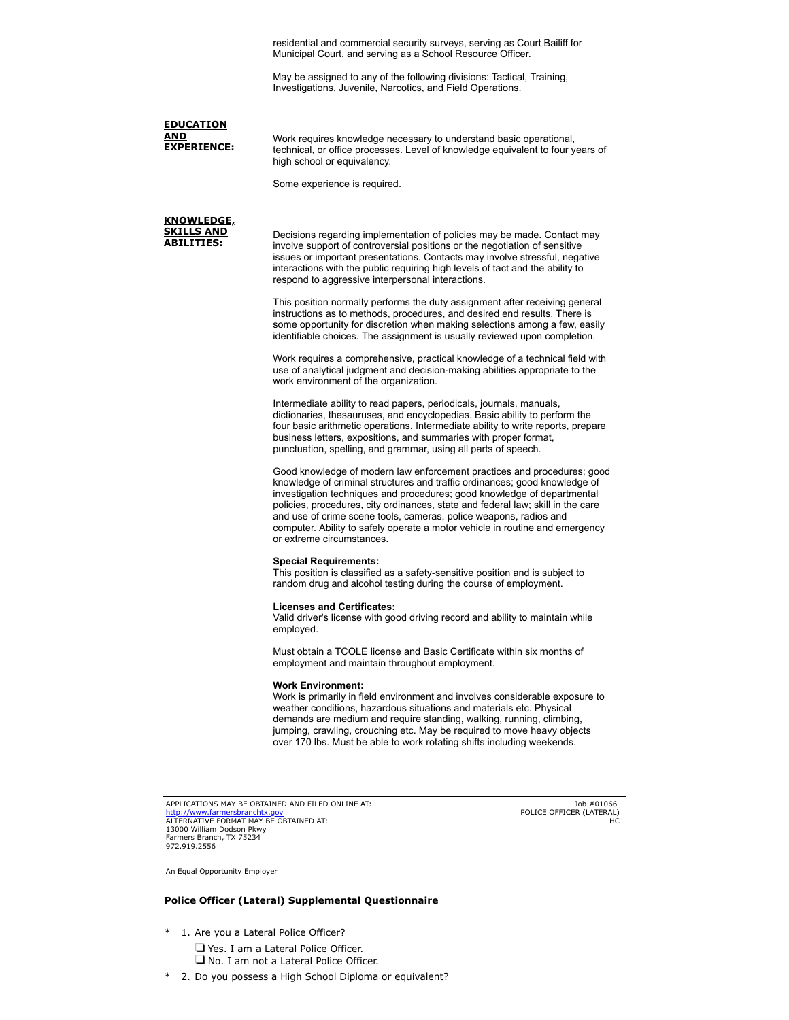residential and commercial security surveys, serving as Court Bailiff for Municipal Court, and serving as a School Resource Officer.

May be assigned to any of the following divisions: Tactical, Training, Investigations, Juvenile, Narcotics, and Field Operations.

**EDUCATION AND**<br>EXPERIENCE:

Work requires knowledge necessary to understand basic operational, technical, or office processes. Level of knowledge equivalent to four years of high school or equivalency.

Some experience is required.

**KNOWLEDGE, SKILLS AND ABILITIES:**

Decisions regarding implementation of policies may be made. Contact may involve support of controversial positions or the negotiation of sensitive issues or important presentations. Contacts may involve stressful, negative interactions with the public requiring high levels of tact and the ability to respond to aggressive interpersonal interactions.

This position normally performs the duty assignment after receiving general instructions as to methods, procedures, and desired end results. There is some opportunity for discretion when making selections among a few, easily identifiable choices. The assignment is usually reviewed upon completion.

Work requires a comprehensive, practical knowledge of a technical field with use of analytical judgment and decision-making abilities appropriate to the work environment of the organization.

Intermediate ability to read papers, periodicals, journals, manuals, dictionaries, thesauruses, and encyclopedias. Basic ability to perform the four basic arithmetic operations. Intermediate ability to write reports, prepare business letters, expositions, and summaries with proper format, punctuation, spelling, and grammar, using all parts of speech.

Good knowledge of modern law enforcement practices and procedures; good knowledge of criminal structures and traffic ordinances; good knowledge of investigation techniques and procedures; good knowledge of departmental policies, procedures, city ordinances, state and federal law; skill in the care and use of crime scene tools, cameras, police weapons, radios and computer. Ability to safely operate a motor vehicle in routine and emergency or extreme circumstances.

### **Special Requirements:**

This position is classified as a safety-sensitive position and is subject to random drug and alcohol testing during the course of employment.

#### **Licenses and Certificates:**

Valid driver's license with good driving record and ability to maintain while employed.

Must obtain a TCOLE license and Basic Certificate within six months of employment and maintain throughout employment.

### **Work Environment:**

Work is primarily in field environment and involves considerable exposure to weather conditions, hazardous situations and materials etc. Physical demands are medium and require standing, walking, running, climbing, jumping, crawling, crouching etc. May be required to move heavy objects over 170 lbs. Must be able to work rotating shifts including weekends.

APPLICATIONS MAY BE OBTAINED AND FILED ONLINE AT: <mark>[http://www.farmersbranchtx.gov](http://www.farmersbranchtx.gov/)</mark><br>ALTERNATIVE FORMAT MAY BE OBTAINED AT: 13000 William Dodson Pkwy Farmers Branch, TX 75234 972.919.2556

Job #01066 POLICE OFFICER (LATERAL) HC

An Equal Opportunity Employer

## **Police Officer (Lateral) Supplemental Questionnaire**

- 1. Are you a Lateral Police Officer? Yes. I am a Lateral Police Officer.
	- No. I am not a Lateral Police Officer.
- \* 2. Do you possess a High School Diploma or equivalent?